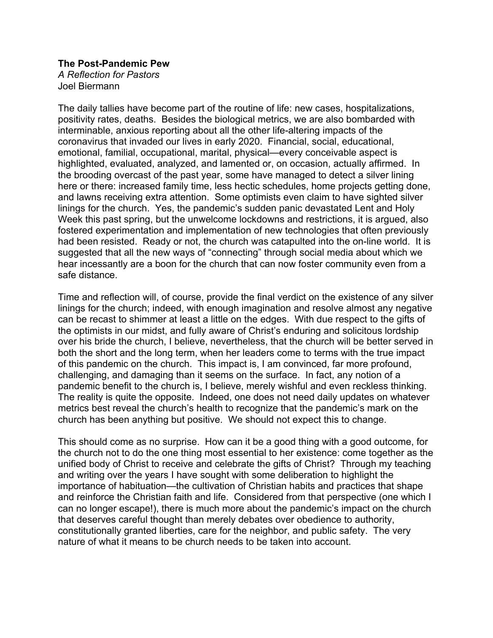## **The Post-Pandemic Pew**

*A Reflection for Pastors* Joel Biermann

The daily tallies have become part of the routine of life: new cases, hospitalizations, positivity rates, deaths. Besides the biological metrics, we are also bombarded with interminable, anxious reporting about all the other life-altering impacts of the coronavirus that invaded our lives in early 2020. Financial, social, educational, emotional, familial, occupational, marital, physical—every conceivable aspect is highlighted, evaluated, analyzed, and lamented or, on occasion, actually affirmed. In the brooding overcast of the past year, some have managed to detect a silver lining here or there: increased family time, less hectic schedules, home projects getting done, and lawns receiving extra attention. Some optimists even claim to have sighted silver linings for the church. Yes, the pandemic's sudden panic devastated Lent and Holy Week this past spring, but the unwelcome lockdowns and restrictions, it is argued, also fostered experimentation and implementation of new technologies that often previously had been resisted. Ready or not, the church was catapulted into the on-line world. It is suggested that all the new ways of "connecting" through social media about which we hear incessantly are a boon for the church that can now foster community even from a safe distance.

Time and reflection will, of course, provide the final verdict on the existence of any silver linings for the church; indeed, with enough imagination and resolve almost any negative can be recast to shimmer at least a little on the edges. With due respect to the gifts of the optimists in our midst, and fully aware of Christ's enduring and solicitous lordship over his bride the church, I believe, nevertheless, that the church will be better served in both the short and the long term, when her leaders come to terms with the true impact of this pandemic on the church. This impact is, I am convinced, far more profound, challenging, and damaging than it seems on the surface. In fact, any notion of a pandemic benefit to the church is, I believe, merely wishful and even reckless thinking. The reality is quite the opposite. Indeed, one does not need daily updates on whatever metrics best reveal the church's health to recognize that the pandemic's mark on the church has been anything but positive. We should not expect this to change.

This should come as no surprise. How can it be a good thing with a good outcome, for the church not to do the one thing most essential to her existence: come together as the unified body of Christ to receive and celebrate the gifts of Christ? Through my teaching and writing over the years I have sought with some deliberation to highlight the importance of habituation—the cultivation of Christian habits and practices that shape and reinforce the Christian faith and life. Considered from that perspective (one which I can no longer escape!), there is much more about the pandemic's impact on the church that deserves careful thought than merely debates over obedience to authority, constitutionally granted liberties, care for the neighbor, and public safety. The very nature of what it means to be church needs to be taken into account.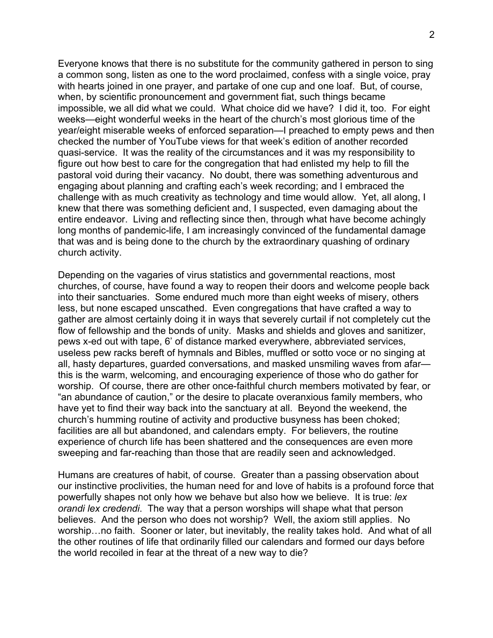Everyone knows that there is no substitute for the community gathered in person to sing a common song, listen as one to the word proclaimed, confess with a single voice, pray with hearts joined in one prayer, and partake of one cup and one loaf. But, of course, when, by scientific pronouncement and government fiat, such things became impossible, we all did what we could. What choice did we have? I did it, too. For eight weeks—eight wonderful weeks in the heart of the church's most glorious time of the year/eight miserable weeks of enforced separation—I preached to empty pews and then checked the number of YouTube views for that week's edition of another recorded quasi-service. It was the reality of the circumstances and it was my responsibility to figure out how best to care for the congregation that had enlisted my help to fill the pastoral void during their vacancy. No doubt, there was something adventurous and engaging about planning and crafting each's week recording; and I embraced the challenge with as much creativity as technology and time would allow. Yet, all along, I knew that there was something deficient and, I suspected, even damaging about the entire endeavor. Living and reflecting since then, through what have become achingly long months of pandemic-life, I am increasingly convinced of the fundamental damage that was and is being done to the church by the extraordinary quashing of ordinary church activity.

Depending on the vagaries of virus statistics and governmental reactions, most churches, of course, have found a way to reopen their doors and welcome people back into their sanctuaries. Some endured much more than eight weeks of misery, others less, but none escaped unscathed. Even congregations that have crafted a way to gather are almost certainly doing it in ways that severely curtail if not completely cut the flow of fellowship and the bonds of unity. Masks and shields and gloves and sanitizer, pews x-ed out with tape, 6' of distance marked everywhere, abbreviated services, useless pew racks bereft of hymnals and Bibles, muffled or sotto voce or no singing at all, hasty departures, guarded conversations, and masked unsmiling waves from afar this is the warm, welcoming, and encouraging experience of those who do gather for worship. Of course, there are other once-faithful church members motivated by fear, or "an abundance of caution," or the desire to placate overanxious family members, who have yet to find their way back into the sanctuary at all. Beyond the weekend, the church's humming routine of activity and productive busyness has been choked; facilities are all but abandoned, and calendars empty. For believers, the routine experience of church life has been shattered and the consequences are even more sweeping and far-reaching than those that are readily seen and acknowledged.

Humans are creatures of habit, of course. Greater than a passing observation about our instinctive proclivities, the human need for and love of habits is a profound force that powerfully shapes not only how we behave but also how we believe. It is true: *lex orandi lex credendi*. The way that a person worships will shape what that person believes. And the person who does not worship? Well, the axiom still applies. No worship…no faith. Sooner or later, but inevitably, the reality takes hold. And what of all the other routines of life that ordinarily filled our calendars and formed our days before the world recoiled in fear at the threat of a new way to die?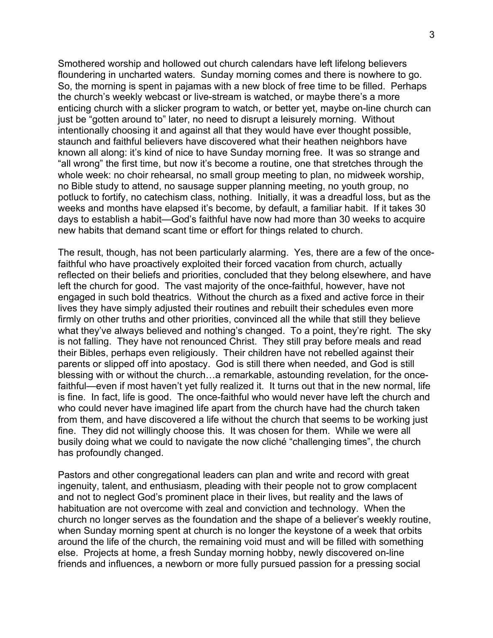Smothered worship and hollowed out church calendars have left lifelong believers floundering in uncharted waters. Sunday morning comes and there is nowhere to go. So, the morning is spent in pajamas with a new block of free time to be filled. Perhaps the church's weekly webcast or live-stream is watched, or maybe there's a more enticing church with a slicker program to watch, or better yet, maybe on-line church can just be "gotten around to" later, no need to disrupt a leisurely morning. Without intentionally choosing it and against all that they would have ever thought possible, staunch and faithful believers have discovered what their heathen neighbors have known all along: it's kind of nice to have Sunday morning free. It was so strange and "all wrong" the first time, but now it's become a routine, one that stretches through the whole week: no choir rehearsal, no small group meeting to plan, no midweek worship, no Bible study to attend, no sausage supper planning meeting, no youth group, no potluck to fortify, no catechism class, nothing. Initially, it was a dreadful loss, but as the weeks and months have elapsed it's become, by default, a familiar habit. If it takes 30 days to establish a habit—God's faithful have now had more than 30 weeks to acquire new habits that demand scant time or effort for things related to church.

The result, though, has not been particularly alarming. Yes, there are a few of the oncefaithful who have proactively exploited their forced vacation from church, actually reflected on their beliefs and priorities, concluded that they belong elsewhere, and have left the church for good. The vast majority of the once-faithful, however, have not engaged in such bold theatrics. Without the church as a fixed and active force in their lives they have simply adjusted their routines and rebuilt their schedules even more firmly on other truths and other priorities, convinced all the while that still they believe what they've always believed and nothing's changed. To a point, they're right. The sky is not falling. They have not renounced Christ. They still pray before meals and read their Bibles, perhaps even religiously. Their children have not rebelled against their parents or slipped off into apostacy. God is still there when needed, and God is still blessing with or without the church…a remarkable, astounding revelation, for the oncefaithful—even if most haven't yet fully realized it. It turns out that in the new normal, life is fine. In fact, life is good. The once-faithful who would never have left the church and who could never have imagined life apart from the church have had the church taken from them, and have discovered a life without the church that seems to be working just fine. They did not willingly choose this. It was chosen for them. While we were all busily doing what we could to navigate the now cliché "challenging times", the church has profoundly changed.

Pastors and other congregational leaders can plan and write and record with great ingenuity, talent, and enthusiasm, pleading with their people not to grow complacent and not to neglect God's prominent place in their lives, but reality and the laws of habituation are not overcome with zeal and conviction and technology. When the church no longer serves as the foundation and the shape of a believer's weekly routine, when Sunday morning spent at church is no longer the keystone of a week that orbits around the life of the church, the remaining void must and will be filled with something else. Projects at home, a fresh Sunday morning hobby, newly discovered on-line friends and influences, a newborn or more fully pursued passion for a pressing social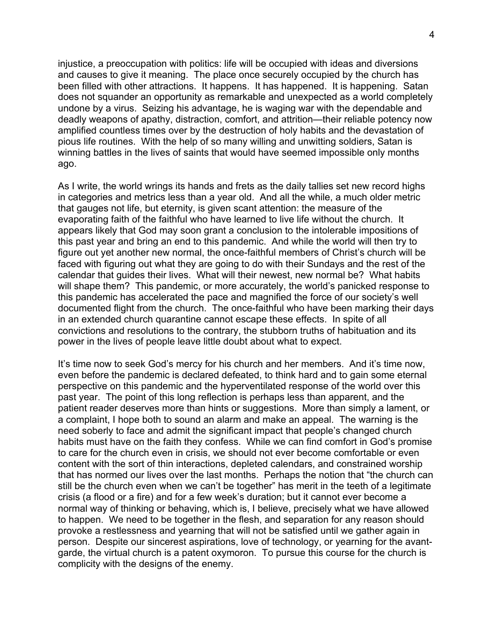injustice, a preoccupation with politics: life will be occupied with ideas and diversions and causes to give it meaning. The place once securely occupied by the church has been filled with other attractions. It happens. It has happened. It is happening. Satan does not squander an opportunity as remarkable and unexpected as a world completely undone by a virus. Seizing his advantage, he is waging war with the dependable and deadly weapons of apathy, distraction, comfort, and attrition—their reliable potency now amplified countless times over by the destruction of holy habits and the devastation of pious life routines. With the help of so many willing and unwitting soldiers, Satan is winning battles in the lives of saints that would have seemed impossible only months ago.

As I write, the world wrings its hands and frets as the daily tallies set new record highs in categories and metrics less than a year old. And all the while, a much older metric that gauges not life, but eternity, is given scant attention: the measure of the evaporating faith of the faithful who have learned to live life without the church. It appears likely that God may soon grant a conclusion to the intolerable impositions of this past year and bring an end to this pandemic. And while the world will then try to figure out yet another new normal, the once-faithful members of Christ's church will be faced with figuring out what they are going to do with their Sundays and the rest of the calendar that guides their lives. What will their newest, new normal be? What habits will shape them? This pandemic, or more accurately, the world's panicked response to this pandemic has accelerated the pace and magnified the force of our society's well documented flight from the church. The once-faithful who have been marking their days in an extended church quarantine cannot escape these effects. In spite of all convictions and resolutions to the contrary, the stubborn truths of habituation and its power in the lives of people leave little doubt about what to expect.

It's time now to seek God's mercy for his church and her members. And it's time now, even before the pandemic is declared defeated, to think hard and to gain some eternal perspective on this pandemic and the hyperventilated response of the world over this past year. The point of this long reflection is perhaps less than apparent, and the patient reader deserves more than hints or suggestions. More than simply a lament, or a complaint, I hope both to sound an alarm and make an appeal. The warning is the need soberly to face and admit the significant impact that people's changed church habits must have on the faith they confess. While we can find comfort in God's promise to care for the church even in crisis, we should not ever become comfortable or even content with the sort of thin interactions, depleted calendars, and constrained worship that has normed our lives over the last months. Perhaps the notion that "the church can still be the church even when we can't be together" has merit in the teeth of a legitimate crisis (a flood or a fire) and for a few week's duration; but it cannot ever become a normal way of thinking or behaving, which is, I believe, precisely what we have allowed to happen. We need to be together in the flesh, and separation for any reason should provoke a restlessness and yearning that will not be satisfied until we gather again in person. Despite our sincerest aspirations, love of technology, or yearning for the avantgarde, the virtual church is a patent oxymoron. To pursue this course for the church is complicity with the designs of the enemy.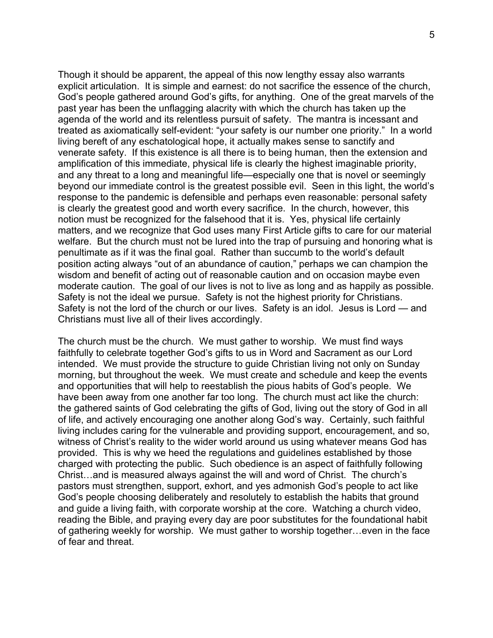Though it should be apparent, the appeal of this now lengthy essay also warrants explicit articulation. It is simple and earnest: do not sacrifice the essence of the church, God's people gathered around God's gifts, for anything. One of the great marvels of the past year has been the unflagging alacrity with which the church has taken up the agenda of the world and its relentless pursuit of safety. The mantra is incessant and treated as axiomatically self-evident: "your safety is our number one priority." In a world living bereft of any eschatological hope, it actually makes sense to sanctify and venerate safety. If this existence is all there is to being human, then the extension and amplification of this immediate, physical life is clearly the highest imaginable priority, and any threat to a long and meaningful life—especially one that is novel or seemingly beyond our immediate control is the greatest possible evil. Seen in this light, the world's response to the pandemic is defensible and perhaps even reasonable: personal safety is clearly the greatest good and worth every sacrifice. In the church, however, this notion must be recognized for the falsehood that it is. Yes, physical life certainly matters, and we recognize that God uses many First Article gifts to care for our material welfare. But the church must not be lured into the trap of pursuing and honoring what is penultimate as if it was the final goal. Rather than succumb to the world's default position acting always "out of an abundance of caution," perhaps we can champion the wisdom and benefit of acting out of reasonable caution and on occasion maybe even moderate caution. The goal of our lives is not to live as long and as happily as possible. Safety is not the ideal we pursue. Safety is not the highest priority for Christians. Safety is not the lord of the church or our lives. Safety is an idol. Jesus is Lord — and Christians must live all of their lives accordingly.

The church must be the church. We must gather to worship. We must find ways faithfully to celebrate together God's gifts to us in Word and Sacrament as our Lord intended. We must provide the structure to guide Christian living not only on Sunday morning, but throughout the week. We must create and schedule and keep the events and opportunities that will help to reestablish the pious habits of God's people. We have been away from one another far too long. The church must act like the church: the gathered saints of God celebrating the gifts of God, living out the story of God in all of life, and actively encouraging one another along God's way. Certainly, such faithful living includes caring for the vulnerable and providing support, encouragement, and so, witness of Christ's reality to the wider world around us using whatever means God has provided. This is why we heed the regulations and guidelines established by those charged with protecting the public. Such obedience is an aspect of faithfully following Christ…and is measured always against the will and word of Christ. The church's pastors must strengthen, support, exhort, and yes admonish God's people to act like God's people choosing deliberately and resolutely to establish the habits that ground and guide a living faith, with corporate worship at the core. Watching a church video, reading the Bible, and praying every day are poor substitutes for the foundational habit of gathering weekly for worship. We must gather to worship together…even in the face of fear and threat.